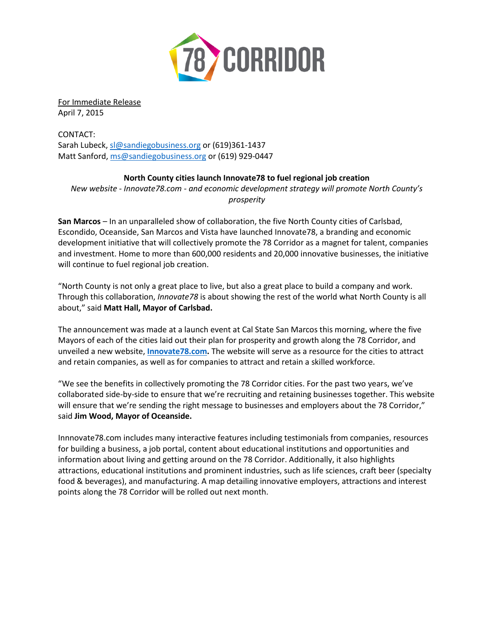

For Immediate Release April 7, 2015

CONTACT: Sarah Lubeck, [sl@sandiegobusiness.org](mailto:sl@sandiegobusiness.org) or (619)361-1437 Matt Sanford[, ms@sandiegobusiness.org](mailto:ms@sandiegobusiness.org) or (619) 929-0447

## **North County cities launch Innovate78 to fuel regional job creation**

*New website - Innovate78.com - and economic development strategy will promote North County's prosperity*

**San Marcos** – In an unparalleled show of collaboration, the five North County cities of Carlsbad, Escondido, Oceanside, San Marcos and Vista have launched Innovate78, a branding and economic development initiative that will collectively promote the 78 Corridor as a magnet for talent, companies and investment. Home to more than 600,000 residents and 20,000 innovative businesses, the initiative will continue to fuel regional job creation.

"North County is not only a great place to live, but also a great place to build a company and work. Through this collaboration, *Innovate78* is about showing the rest of the world what North County is all about," said **Matt Hall, Mayor of Carlsbad.** 

The announcement was made at a launch event at Cal State San Marcos this morning, where the five Mayors of each of the cities laid out their plan for prosperity and growth along the 78 Corridor, and unveiled a new website, **[Innovate78.com.](http://www.innovate78.com/)** The website will serve as a resource for the cities to attract and retain companies, as well as for companies to attract and retain a skilled workforce.

"We see the benefits in collectively promoting the 78 Corridor cities. For the past two years, we've collaborated side-by-side to ensure that we're recruiting and retaining businesses together. This website will ensure that we're sending the right message to businesses and employers about the 78 Corridor," said **Jim Wood, Mayor of Oceanside.** 

Innnovate78.com includes many interactive features including testimonials from companies, resources for building a business, a job portal, content about educational institutions and opportunities and information about living and getting around on the 78 Corridor. Additionally, it also highlights attractions, educational institutions and prominent industries, such as life sciences, craft beer (specialty food & beverages), and manufacturing. A map detailing innovative employers, attractions and interest points along the 78 Corridor will be rolled out next month.